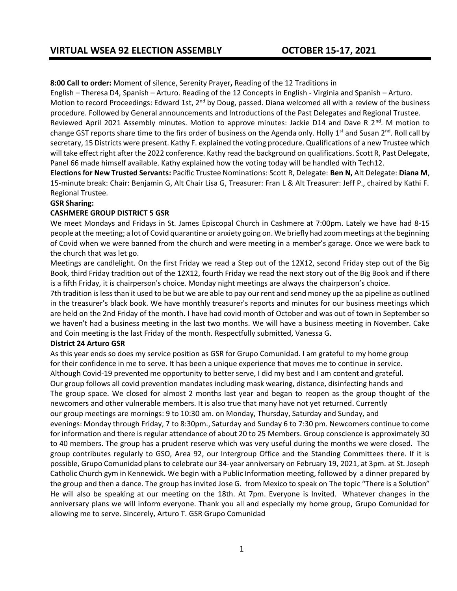## **8:00 Call to order:** Moment of silence, Serenity Prayer**,** Reading of the 12 Traditions in

English – Theresa D4, Spanish – Arturo. Reading of the 12 Concepts in English - Virginia and Spanish – Arturo. Motion to record Proceedings: Edward 1st,  $2^{nd}$  by Doug, passed. Diana welcomed all with a review of the business

procedure. Followed by General announcements and Introductions of the Past Delegates and Regional Trustee. Reviewed April 2021 Assembly minutes. Motion to approve minutes: Jackie D14 and Dave R 2<sup>nd</sup>. M motion to change GST reports share time to the firs order of business on the Agenda only. Holly 1<sup>st</sup> and Susan 2<sup>nd</sup>. Roll call by secretary, 15 Districts were present. Kathy F. explained the voting procedure. Qualifications of a new Trustee which will take effect right after the 2022 conference. Kathy read the background on qualifications. Scott R, Past Delegate, Panel 66 made himself available. Kathy explained how the voting today will be handled with Tech12.

**Elections for New Trusted Servants:** Pacific Trustee Nominations: Scott R, Delegate: **Ben N,** Alt Delegate: **Diana M**, 15-minute break: Chair: Benjamin G, Alt Chair Lisa G, Treasurer: Fran L & Alt Treasurer: Jeff P., chaired by Kathi F. Regional Trustee.

### **GSR Sharing:**

## **CASHMERE GROUP DISTRICT 5 GSR**

We meet Mondays and Fridays in St. James Episcopal Church in Cashmere at 7:00pm. Lately we have had 8-15 people at the meeting; a lot of Covid quarantine or anxiety going on. We briefly had zoom meetings at the beginning of Covid when we were banned from the church and were meeting in a member's garage. Once we were back to the church that was let go.

Meetings are candlelight. On the first Friday we read a Step out of the 12X12, second Friday step out of the Big Book, third Friday tradition out of the 12X12, fourth Friday we read the next story out of the Big Book and if there is a fifth Friday, it is chairperson's choice. Monday night meetings are always the chairperson's choice.

7th tradition is less than it used to be but we are able to pay our rent and send money up the aa pipeline as outlined in the treasurer's black book. We have monthly treasurer's reports and minutes for our business meetings which are held on the 2nd Friday of the month. I have had covid month of October and was out of town in September so we haven't had a business meeting in the last two months. We will have a business meeting in November. Cake and Coin meeting is the last Friday of the month. Respectfully submitted, Vanessa G.

### **District 24 Arturo GSR**

As this year ends so does my service position as GSR for Grupo Comunidad. I am grateful to my home group for their confidence in me to serve. It has been a unique experience that moves me to continue in service. Although Covid-19 prevented me opportunity to better serve, I did my best and I am content and grateful. Our group follows all covid prevention mandates including mask wearing, distance, disinfecting hands and The group space. We closed for almost 2 months last year and began to reopen as the group thought of the newcomers and other vulnerable members. It is also true that many have not yet returned. Currently our group meetings are mornings: 9 to 10:30 am. on Monday, Thursday, Saturday and Sunday, and evenings: Monday through Friday, 7 to 8:30pm., Saturday and Sunday 6 to 7:30 pm. Newcomers continue to come for information and there is regular attendance of about 20 to 25 Members. Group conscience is approximately 30 to 40 members. The group has a prudent reserve which was very useful during the months we were closed. The group contributes regularly to GSO, Area 92, our Intergroup Office and the Standing Committees there. If it is possible, Grupo Comunidad plans to celebrate our 34-year anniversary on February 19, 2021, at 3pm. at St. Joseph Catholic Church gym in Kennewick. We begin with a Public Information meeting, followed by a dinner prepared by the group and then a dance. The group has invited Jose G. from Mexico to speak on The topic "There is a Solution" He will also be speaking at our meeting on the 18th. At 7pm. Everyone is Invited. Whatever changes in the anniversary plans we will inform everyone. Thank you all and especially my home group, Grupo Comunidad for allowing me to serve. Sincerely, Arturo T. GSR Grupo Comunidad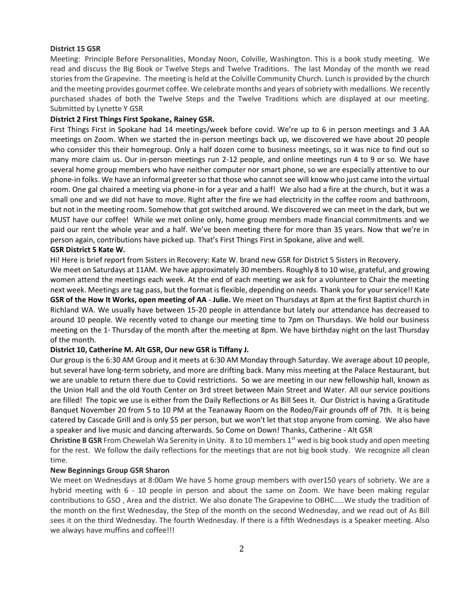## **District 15 GSR**

Meeting: Principle Before Personalities, Monday Noon, Colville, Washington. This is a book study meeting. We read and discuss the Big Book or Twelve Steps and Twelve Traditions. The last Monday of the month we read stories from the Grapevine. The meeting is held at the Colville Community Church. Lunch is provided by the church and the meeting provides gourmet coffee. We celebrate months and years of sobriety with medallions. We recently purchased shades of both the Twelve Steps and the Twelve Traditions which are displayed at our meeting. Submitted by Lynette Y GSR

## **District 2 First Things First Spokane, Rainey GSR.**

First Things First in Spokane had 14 meetings/week before covid. We're up to 6 in person meetings and 3 AA meetings on Zoom. When we started the in-person meetings back up, we discovered we have about 20 people who consider this their homegroup. Only a half dozen come to business meetings, so it was nice to find out so many more claim us. Our in-person meetings run 2-12 people, and online meetings run 4 to 9 or so. We have several home group members who have neither computer nor smart phone, so we are especially attentive to our phone-in folks. We have an informal greeter so that those who cannot see will know who just came into the virtual room. One gal chaired a meeting via phone-in for a year and a half! We also had a fire at the church, but it was a small one and we did not have to move. Right after the fire we had electricity in the coffee room and bathroom, but not in the meeting room. Somehow that got switched around. We discovered we can meet in the dark, but we MUST have our coffee! While we met online only, home group members made financial commitments and we paid our rent the whole year and a half. We've been meeting there for more than 35 years. Now that we're in person again, contributions have picked up. That's First Things First in Spokane, alive and well.

## **GSR District 5 Kate W.**

Hi! Here is brief report from Sisters in Recovery: Kate W. brand new GSR for District 5 Sisters in Recovery.

We meet on Saturdays at 11AM. We have approximately 30 members. Roughly 8 to 10 wise, grateful, and growing women attend the meetings each week. At the end of each meeting we ask for a volunteer to Chair the meeting next week. Meetings are tag pass, but the format is flexible, depending on needs. Thank you for your service!! Kate **GSR of the How It Works, open meeting of AA** - **Julie.** We meet on Thursdays at 8pm at the first Baptist church in Richland WA. We usually have between 15-20 people in attendance but lately our attendance has decreased to around 10 people. We recently voted to change our meeting time to 7pm on Thursdays. We hold our business meeting on the 1<sup>\*</sup> Thursday of the month after the meeting at 8pm. We have birthday night on the last Thursday of the month.

## **District 10, Catherine M. Alt GSR, Our new GSR is Tiffany J.**

Our group is the 6:30 AM Group and it meets at 6:30 AM Monday through Saturday. We average about 10 people, but several have long-term sobriety, and more are drifting back. Many miss meeting at the Palace Restaurant, but we are unable to return there due to Covid restrictions. So we are meeting in our new fellowship hall, known as the Union Hall and the old Youth Center on 3rd street between Main Street and Water. All our service positions are filled! The topic we use is either from the Daily Reflections or As Bill Sees It. Our District is having a Gratitude Banquet November 20 from 5 to 10 PM at the Teanaway Room on the Rodeo/Fair grounds off of 7th. It is being catered by Cascade Grill and is only \$5 per person, but we won't let that stop anyone from coming. We also have a speaker and live music and dancing afterwards. So Come on Down! Thanks, Catherine - Alt GSR

**Christine B GSR** From Chewelah Wa Serenity in Unity. 8 to 10 members 1<sup>st</sup> wed is big book study and open meeting for the rest. We follow the daily reflections for the meetings that are not big book study. We recognize all clean time.

### **New Beginnings Group GSR Sharon**

We meet on Wednesdays at 8:00am We have 5 home group members with over150 years of sobriety. We are a hybrid meeting with 6 - 10 people in person and about the same on Zoom. We have been making regular contributions to GSO , Area and the district. We also donate The Grapevine to OBHC.....We study the tradition of the month on the first Wednesday, the Step of the month on the second Wednesday, and we read out of As Bill sees it on the third Wednesday. The fourth Wednesday. If there is a fifth Wednesdays is a Speaker meeting. Also we always have muffins and coffee!!!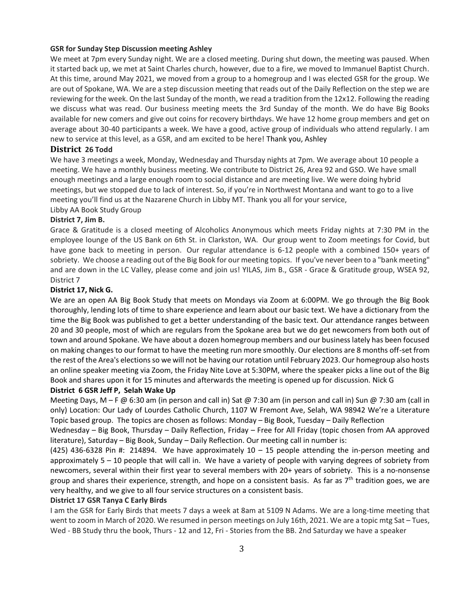## **GSR for Sunday Step Discussion meeting Ashley**

We meet at 7pm every Sunday night. We are a closed meeting. During shut down, the meeting was paused. When it started back up, we met at Saint Charles church, however, due to a fire, we moved to Immanuel Baptist Church. At this time, around May 2021, we moved from a group to a homegroup and I was elected GSR for the group. We are out of Spokane, WA. We are a step discussion meeting that reads out of the Daily Reflection on the step we are reviewing for the week. On the last Sunday of the month, we read a tradition from the 12x12. Following the reading we discuss what was read. Our business meeting meets the 3rd Sunday of the month. We do have Big Books available for new comers and give out coins for recovery birthdays. We have 12 home group members and get on average about 30-40 participants a week. We have a good, active group of individuals who attend regularly. I am new to service at this level, as a GSR, and am excited to be here! Thank you, Ashley

## **District 26 Todd**

We have 3 meetings a week, Monday, Wednesday and Thursday nights at 7pm. We average about 10 people a meeting. We have a monthly business meeting. We contribute to District 26, Area 92 and GSO. We have small enough meetings and a large enough room to social distance and are meeting live. We were doing hybrid meetings, but we stopped due to lack of interest. So, if you're in Northwest Montana and want to go to a live meeting you'll find us at the Nazarene Church in Libby MT. Thank you all for your service,

Libby AA Book Study Group

## **District 7, Jim B.**

Grace & Gratitude is a closed meeting of Alcoholics Anonymous which meets Friday nights at 7:30 PM in the employee lounge of the US Bank on 6th St. in Clarkston, WA. Our group went to Zoom meetings for Covid, but have gone back to meeting in person. Our regular attendance is 6-12 people with a combined 150+ years of sobriety. We choose a reading out of the Big Book for our meeting topics. If you've never been to a "bank meeting" and are down in the LC Valley, please come and join us! YILAS, Jim B., GSR - Grace & Gratitude group, WSEA 92, District 7

## **District 17, Nick G.**

We are an open AA Big Book Study that meets on Mondays via Zoom at 6:00PM. We go through the Big Book thoroughly, lending lots of time to share experience and learn about our basic text. We have a dictionary from the time the Big Book was published to get a better understanding of the basic text. Our attendance ranges between 20 and 30 people, most of which are regulars from the Spokane area but we do get newcomers from both out of town and around Spokane. We have about a dozen homegroup members and our business lately has been focused on making changes to our format to have the meeting run more smoothly. Our elections are 8 months off-set from the rest of the Area's elections so we will not be having our rotation until February 2023. Our homegroup also hosts an online speaker meeting via Zoom, the Friday Nite Love at 5:30PM, where the speaker picks a line out of the Big Book and shares upon it for 15 minutes and afterwards the meeting is opened up for discussion. Nick G

### **District 6 GSR Jeff P, Selah Wake Up**

Meeting Days, M – F @ 6:30 am (in person and call in) Sat @ 7:30 am (in person and call in) Sun @ 7:30 am (call in only) Location: Our Lady of Lourdes Catholic Church, 1107 W Fremont Ave, Selah, WA 98942 We're a Literature Topic based group. The topics are chosen as follows: Monday – Big Book, Tuesday – Daily Reflection

Wednesday – Big Book, Thursday – Daily Reflection, Friday – Free for All Friday (topic chosen from AA approved literature), Saturday – Big Book, Sunday – Daily Reflection. Our meeting call in number is:

 $(425)$  436-6328 Pin #: 214894. We have approximately 10 – 15 people attending the in-person meeting and approximately 5 – 10 people that will call in. We have a variety of people with varying degrees of sobriety from newcomers, several within their first year to several members with 20+ years of sobriety. This is a no-nonsense group and shares their experience, strength, and hope on a consistent basis. As far as 7<sup>th</sup> tradition goes, we are very healthy, and we give to all four service structures on a consistent basis.

### **District 17 GSR Tanya C Early Birds**

I am the GSR for Early Birds that meets 7 days a week at 8am at 5109 N Adams. We are a long-time meeting that went to zoom in March of 2020. We resumed in person meetings on July 16th, 2021. We are a topic mtg Sat – Tues, Wed - BB Study thru the book, Thurs - 12 and 12, Fri - Stories from the BB. 2nd Saturday we have a speaker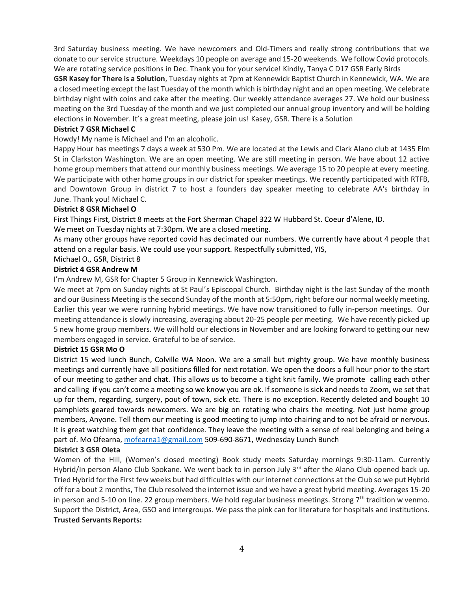3rd Saturday business meeting. We have newcomers and Old-Timers and really strong contributions that we donate to our service structure. Weekdays 10 people on average and 15-20 weekends. We follow Covid protocols. We are rotating service positions in Dec. Thank you for your service! Kindly, Tanya C D17 GSR Early Birds

**GSR Kasey for There is a Solution**, Tuesday nights at 7pm at Kennewick Baptist Church in Kennewick, WA. We are a closed meeting except the last Tuesday of the month which is birthday night and an open meeting. We celebrate birthday night with coins and cake after the meeting. Our weekly attendance averages 27. We hold our business meeting on the 3rd Tuesday of the month and we just completed our annual group inventory and will be holding elections in November. It's a great meeting, please join us! Kasey, GSR. There is a Solution

## **District 7 GSR Michael C**

Howdy! My name is Michael and I'm an alcoholic.

Happy Hour has meetings 7 days a week at 530 Pm. We are located at the Lewis and Clark Alano club at 1435 Elm St in Clarkston Washington. We are an open meeting. We are still meeting in person. We have about 12 active home group members that attend our monthly business meetings. We average 15 to 20 people at every meeting. We participate with other home groups in our district for speaker meetings. We recently participated with RTFB, and Downtown Group in district 7 to host a founders day speaker meeting to celebrate AA's birthday in June. Thank you! Michael C.

## **District 8 GSR Michael O**

First Things First, District 8 meets at the Fort Sherman Chapel 322 W Hubbard St. Coeur d'Alene, ID.

We meet on Tuesday nights at 7:30pm. We are a closed meeting.

As many other groups have reported covid has decimated our numbers. We currently have about 4 people that attend on a regular basis. We could use your support. Respectfully submitted, YIS,

## Michael O., GSR, District 8

## **District 4 GSR Andrew M**

I'm Andrew M, GSR for Chapter 5 Group in Kennewick Washington.

We meet at 7pm on Sunday nights at St Paul's Episcopal Church. Birthday night is the last Sunday of the month and our Business Meeting is the second Sunday of the month at 5:50pm, right before our normal weekly meeting. Earlier this year we were running hybrid meetings. We have now transitioned to fully in-person meetings. Our meeting attendance is slowly increasing, averaging about 20-25 people per meeting. We have recently picked up 5 new home group members. We will hold our elections in November and are looking forward to getting our new members engaged in service. Grateful to be of service.

## **District 15 GSR Mo O**

District 15 wed lunch Bunch, Colville WA Noon. We are a small but mighty group. We have monthly business meetings and currently have all positions filled for next rotation. We open the doors a full hour prior to the start of our meeting to gather and chat. This allows us to become a tight knit family. We promote calling each other and calling if you can't come a meeting so we know you are ok. If someone is sick and needs to Zoom, we set that up for them, regarding, surgery, pout of town, sick etc. There is no exception. Recently deleted and bought 10 pamphlets geared towards newcomers. We are big on rotating who chairs the meeting. Not just home group members, Anyone. Tell them our meeting is good meeting to jump into chairing and to not be afraid or nervous. It is great watching them get that confidence. They leave the meeting with a sense of real belonging and being a part of. Mo Ofearna, [mofearna1@gmail.com](mailto:mofearna1@gmail.com) 509-690-8671, Wednesday Lunch Bunch

## **District 3 GSR Oleta**

Women of the Hill, (Women's closed meeting) Book study meets Saturday mornings 9:30-11am. Currently Hybrid/In person Alano Club Spokane. We went back to in person July 3<sup>rd</sup> after the Alano Club opened back up. Tried Hybrid for the First few weeks but had difficulties with our internet connections at the Club so we put Hybrid off for a bout 2 months, The Club resolved the internet issue and we have a great hybrid meeting. Averages 15-20 in person and 5-10 on line. 22 group members. We hold regular business meetings. Strong  $7<sup>th</sup>$  tradition w venmo. Support the District, Area, GSO and intergroups. We pass the pink can for literature for hospitals and institutions. **Trusted Servants Reports:**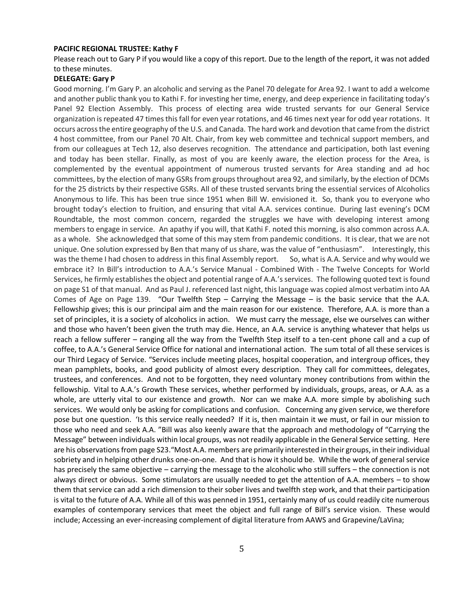### **PACIFIC REGIONAL TRUSTEE: Kathy F**

Please reach out to Gary P if you would like a copy of this report. Due to the length of the report, it was not added to these minutes.

### **DELEGATE: Gary P**

Good morning. I'm Gary P. an alcoholic and serving as the Panel 70 delegate for Area 92. I want to add a welcome and another public thank you to Kathi F. for investing her time, energy, and deep experience in facilitating today's Panel 92 Election Assembly. This process of electing area wide trusted servants for our General Service organization is repeated 47 times this fall for even year rotations, and 46 times next year for odd year rotations. It occurs across the entire geography of the U.S. and Canada. The hard work and devotion that came from the district 4 host committee, from our Panel 70 Alt. Chair, from key web committee and technical support members, and from our colleagues at Tech 12, also deserves recognition. The attendance and participation, both last evening and today has been stellar. Finally, as most of you are keenly aware, the election process for the Area, is complemented by the eventual appointment of numerous trusted servants for Area standing and ad hoc committees, by the election of many GSRs from groups throughout area 92, and similarly, by the election of DCMs for the 25 districts by their respective GSRs. All of these trusted servants bring the essential services of Alcoholics Anonymous to life. This has been true since 1951 when Bill W. envisioned it. So, thank you to everyone who brought today's election to fruition, and ensuring that vital A.A. services continue. During last evening's DCM Roundtable, the most common concern, regarded the struggles we have with developing interest among members to engage in service. An apathy if you will, that Kathi F. noted this morning, is also common across A.A. as a whole. She acknowledged that some of this may stem from pandemic conditions. It is clear, that we are not unique. One solution expressed by Ben that many of us share, was the value of "enthusiasm". Interestingly, this was the theme I had chosen to address in this final Assembly report. So, what is A.A. Service and why would we embrace it? In Bill's introduction to A.A.'s Service Manual - Combined With - The Twelve Concepts for World Services, he firmly establishes the object and potential range of A.A.'s services. The following quoted text is found on page S1 of that manual. And as Paul J. referenced last night, this language was copied almost verbatim into AA Comes of Age on Page 139. "Our Twelfth Step – Carrying the Message – is the basic service that the A.A. Fellowship gives; this is our principal aim and the main reason for our existence. Therefore, A.A. is more than a set of principles, it is a society of alcoholics in action. We must carry the message, else we ourselves can wither and those who haven't been given the truth may die. Hence, an A.A. service is anything whatever that helps us reach a fellow sufferer – ranging all the way from the Twelfth Step itself to a ten-cent phone call and a cup of coffee, to A.A.'s General Service Office for national and international action. The sum total of all these services is our Third Legacy of Service. "Services include meeting places, hospital cooperation, and intergroup offices, they mean pamphlets, books, and good publicity of almost every description. They call for committees, delegates, trustees, and conferences. And not to be forgotten, they need voluntary money contributions from within the fellowship. Vital to A.A.'s Growth These services, whether performed by individuals, groups, areas, or A.A. as a whole, are utterly vital to our existence and growth. Nor can we make A.A. more simple by abolishing such services. We would only be asking for complications and confusion. Concerning any given service, we therefore pose but one question. 'Is this service really needed? If it is, then maintain it we must, or fail in our mission to those who need and seek A.A. "Bill was also keenly aware that the approach and methodology of "Carrying the Message" between individuals within local groups, was not readily applicable in the General Service setting. Here are his observations from page S23."Most A.A. members are primarily interested in their groups, in their individual sobriety and in helping other drunks one-on-one. And that is how it should be. While the work of general service has precisely the same objective – carrying the message to the alcoholic who still suffers – the connection is not always direct or obvious. Some stimulators are usually needed to get the attention of A.A. members – to show them that service can add a rich dimension to their sober lives and twelfth step work, and that their participation is vital to the future of A.A. While all of this was penned in 1951, certainly many of us could readily cite numerous examples of contemporary services that meet the object and full range of Bill's service vision. These would include; Accessing an ever-increasing complement of digital literature from AAWS and Grapevine/LaVina;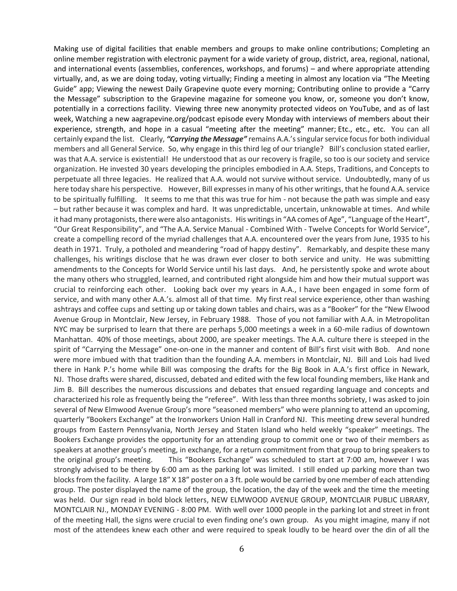Making use of digital facilities that enable members and groups to make online contributions; Completing an online member registration with electronic payment for a wide variety of group, district, area, regional, national, and international events (assemblies, conferences, workshops, and forums) – and where appropriate attending virtually, and, as we are doing today, voting virtually; Finding a meeting in almost any location via "The Meeting Guide" app; Viewing the newest Daily Grapevine quote every morning; Contributing online to provide a "Carry the Message" subscription to the Grapevine magazine for someone you know, or, someone you don't know, potentially in a corrections facility. Viewing three new anonymity protected videos on YouTube, and as of last week, Watching a new aagrapevine.org/podcast episode every Monday with interviews of members about their experience, strength, and hope in a casual "meeting after the meeting" manner; Etc., etc., etc. You can all certainly expand the list. Clearly, *"Carrying the Message"* remains A.A.'s singular service focus for both individual members and all General Service. So, why engage in this third leg of our triangle? Bill's conclusion stated earlier, was that A.A. service is existential! He understood that as our recovery is fragile, so too is our society and service organization. He invested 30 years developing the principles embodied in A.A. Steps, Traditions, and Concepts to perpetuate all three legacies. He realized that A.A. would not survive without service. Undoubtedly, many of us here today share his perspective. However, Bill expresses in many of his other writings, that he found A.A. service to be spiritually fulfilling. It seems to me that this was true for him - not because the path was simple and easy – but rather because it was complex and hard. It was unpredictable, uncertain, unknowable at times. And while it had many protagonists, there were also antagonists. His writings in "AA comes of Age", "Language of the Heart", "Our Great Responsibility", and "The A.A. Service Manual - Combined With - Twelve Concepts for World Service", create a compelling record of the myriad challenges that A.A. encountered over the years from June, 1935 to his death in 1971. Truly, a potholed and meandering "road of happy destiny". Remarkably, and despite these many challenges, his writings disclose that he was drawn ever closer to both service and unity. He was submitting amendments to the Concepts for World Service until his last days. And, he persistently spoke and wrote about the many others who struggled, learned, and contributed right alongside him and how their mutual support was crucial to reinforcing each other. Looking back over my years in A.A., I have been engaged in some form of service, and with many other A.A.'s. almost all of that time. My first real service experience, other than washing ashtrays and coffee cups and setting up or taking down tables and chairs, was as a "Booker" for the "New Elwood Avenue Group in Montclair, New Jersey, in February 1988. Those of you not familiar with A.A. in Metropolitan NYC may be surprised to learn that there are perhaps 5,000 meetings a week in a 60-mile radius of downtown Manhattan. 40% of those meetings, about 2000, are speaker meetings. The A.A. culture there is steeped in the spirit of "Carrying the Message" one-on-one in the manner and content of Bill's first visit with Bob. And none were more imbued with that tradition than the founding A.A. members in Montclair, NJ. Bill and Lois had lived there in Hank P.'s home while Bill was composing the drafts for the Big Book in A.A.'s first office in Newark, NJ. Those drafts were shared, discussed, debated and edited with the few local founding members, like Hank and Jim B. Bill describes the numerous discussions and debates that ensued regarding language and concepts and characterized his role as frequently being the "referee". With less than three months sobriety, I was asked to join several of New Elmwood Avenue Group's more "seasoned members" who were planning to attend an upcoming, quarterly "Bookers Exchange" at the Ironworkers Union Hall in Cranford NJ. This meeting drew several hundred groups from Eastern Pennsylvania, North Jersey and Staten Island who held weekly "speaker" meetings. The Bookers Exchange provides the opportunity for an attending group to commit one or two of their members as speakers at another group's meeting, in exchange, for a return commitment from that group to bring speakers to the original group's meeting. This "Bookers Exchange" was scheduled to start at 7:00 am, however I was strongly advised to be there by 6:00 am as the parking lot was limited. I still ended up parking more than two blocks from the facility. A large 18" X 18" poster on a 3 ft. pole would be carried by one member of each attending group. The poster displayed the name of the group, the location, the day of the week and the time the meeting was held. Our sign read in bold block letters, NEW ELMWOOD AVENUE GROUP, MONTCLAIR PUBLIC LIBRARY, MONTCLAIR NJ., MONDAY EVENING - 8:00 PM. With well over 1000 people in the parking lot and street in front of the meeting Hall, the signs were crucial to even finding one's own group. As you might imagine, many if not most of the attendees knew each other and were required to speak loudly to be heard over the din of all the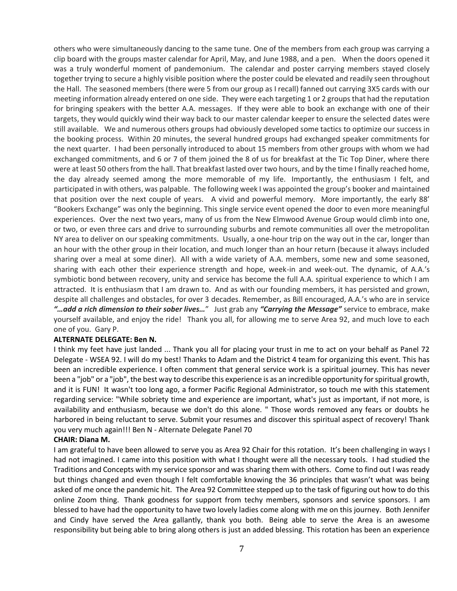others who were simultaneously dancing to the same tune. One of the members from each group was carrying a clip board with the groups master calendar for April, May, and June 1988, and a pen. When the doors opened it was a truly wonderful moment of pandemonium. The calendar and poster carrying members stayed closely together trying to secure a highly visible position where the poster could be elevated and readily seen throughout the Hall. The seasoned members (there were 5 from our group as I recall) fanned out carrying 3X5 cards with our meeting information already entered on one side. They were each targeting 1 or 2 groups that had the reputation for bringing speakers with the better A.A. messages. If they were able to book an exchange with one of their targets, they would quickly wind their way back to our master calendar keeper to ensure the selected dates were still available. We and numerous others groups had obviously developed some tactics to optimize our success in the booking process. Within 20 minutes, the several hundred groups had exchanged speaker commitments for the next quarter. I had been personally introduced to about 15 members from other groups with whom we had exchanged commitments, and 6 or 7 of them joined the 8 of us for breakfast at the Tic Top Diner, where there were at least 50 others from the hall. That breakfast lasted over two hours, and by the time I finally reached home, the day already seemed among the more memorable of my life. Importantly, the enthusiasm I felt, and participated in with others, was palpable. The following week I was appointed the group's booker and maintained that position over the next couple of years. A vivid and powerful memory. More importantly, the early 88' "Bookers Exchange" was only the beginning. This single service event opened the door to even more meaningful experiences. Over the next two years, many of us from the New Elmwood Avenue Group would climb into one, or two, or even three cars and drive to surrounding suburbs and remote communities all over the metropolitan NY area to deliver on our speaking commitments. Usually, a one-hour trip on the way out in the car, longer than an hour with the other group in their location, and much longer than an hour return (because it always included sharing over a meal at some diner). All with a wide variety of A.A. members, some new and some seasoned, sharing with each other their experience strength and hope, week-in and week-out. The dynamic, of A.A.'s symbiotic bond between recovery, unity and service has become the full A.A. spiritual experience to which I am attracted. It is enthusiasm that I am drawn to. And as with our founding members, it has persisted and grown, despite all challenges and obstacles, for over 3 decades. Remember, as Bill encouraged, A.A.'s who are in service *"…add a rich dimension to their sober lives…*" Just grab any *"Carrying the Message"* service to embrace, make yourself available, and enjoy the ride! Thank you all, for allowing me to serve Area 92, and much love to each one of you. Gary P.

### **ALTERNATE DELEGATE: Ben N.**

I think my feet have just landed ... Thank you all for placing your trust in me to act on your behalf as Panel 72 Delegate - WSEA 92. I will do my best! Thanks to Adam and the District 4 team for organizing this event. This has been an incredible experience. I often comment that general service work is a spiritual journey. This has never been a "job" or a "job", the best way to describe this experience is as an incredible opportunity for spiritual growth, and it is FUN! It wasn't too long ago, a former Pacific Regional Administrator, so touch me with this statement regarding service: "While sobriety time and experience are important, what's just as important, if not more, is availability and enthusiasm, because we don't do this alone. " Those words removed any fears or doubts he harbored in being reluctant to serve. Submit your resumes and discover this spiritual aspect of recovery! Thank you very much again!!! Ben N - Alternate Delegate Panel 70

### **CHAIR: Diana M.**

I am grateful to have been allowed to serve you as Area 92 Chair for this rotation. It's been challenging in ways I had not imagined. I came into this position with what I thought were all the necessary tools. I had studied the Traditions and Concepts with my service sponsor and was sharing them with others. Come to find out I was ready but things changed and even though I felt comfortable knowing the 36 principles that wasn't what was being asked of me once the pandemic hit. The Area 92 Committee stepped up to the task of figuring out how to do this online Zoom thing. Thank goodness for support from techy members, sponsors and service sponsors. I am blessed to have had the opportunity to have two lovely ladies come along with me on this journey. Both Jennifer and Cindy have served the Area gallantly, thank you both. Being able to serve the Area is an awesome responsibility but being able to bring along others is just an added blessing. This rotation has been an experience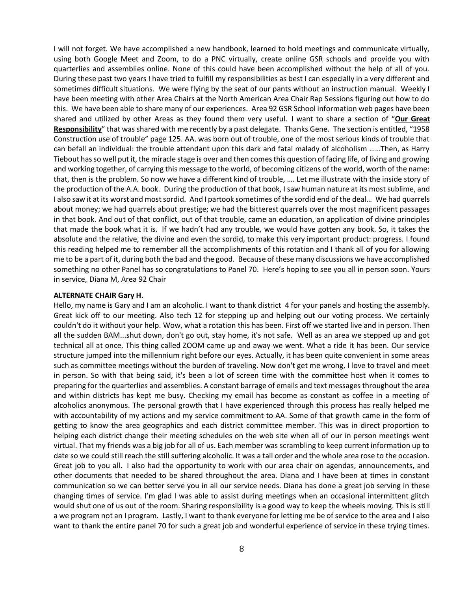I will not forget. We have accomplished a new handbook, learned to hold meetings and communicate virtually, using both Google Meet and Zoom, to do a PNC virtually, create online GSR schools and provide you with quarterlies and assemblies online. None of this could have been accomplished without the help of all of you. During these past two years I have tried to fulfill my responsibilities as best I can especially in a very different and sometimes difficult situations. We were flying by the seat of our pants without an instruction manual. Weekly I have been meeting with other Area Chairs at the North American Area Chair Rap Sessions figuring out how to do this. We have been able to share many of our experiences. Area 92 GSR School information web pages have been shared and utilized by other Areas as they found them very useful. I want to share a section of "**Our Great Responsibility**" that was shared with me recently by a past delegate. Thanks Gene. The section is entitled, "1958 Construction use of trouble" page 125. AA. was born out of trouble, one of the most serious kinds of trouble that can befall an individual: the trouble attendant upon this dark and fatal malady of alcoholism ……Then, as Harry Tiebout has so well put it, the miracle stage is over and then comes this question of facing life, of living and growing and working together, of carrying this message to the world, of becoming citizens of the world, worth of the name: that, then is the problem. So now we have a different kind of trouble, …. Let me illustrate with the inside story of the production of the A.A. book. During the production of that book, I saw human nature at its most sublime, and I also saw it at its worst and most sordid. And I partook sometimes of the sordid end of the deal… We had quarrels about money; we had quarrels about prestige; we had the bitterest quarrels over the most magnificent passages in that book. And out of that conflict, out of that trouble, came an education, an application of divine principles that made the book what it is. If we hadn't had any trouble, we would have gotten any book. So, it takes the absolute and the relative, the divine and even the sordid, to make this very important product: progress. I found this reading helped me to remember all the accomplishments of this rotation and I thank all of you for allowing me to be a part of it, during both the bad and the good. Because of these many discussions we have accomplished something no other Panel has so congratulations to Panel 70. Here's hoping to see you all in person soon. Yours in service, Diana M, Area 92 Chair

#### **ALTERNATE CHAIR Gary H.**

Hello, my name is Gary and I am an alcoholic. I want to thank district 4 for your panels and hosting the assembly. Great kick off to our meeting. Also tech 12 for stepping up and helping out our voting process. We certainly couldn't do it without your help. Wow, what a rotation this has been. First off we started live and in person. Then all the sudden BAM...shut down, don't go out, stay home, it's not safe. Well as an area we stepped up and got technical all at once. This thing called ZOOM came up and away we went. What a ride it has been. Our service structure jumped into the millennium right before our eyes. Actually, it has been quite convenient in some areas such as committee meetings without the burden of traveling. Now don't get me wrong, I love to travel and meet in person. So with that being said, it's been a lot of screen time with the committee host when it comes to preparing for the quarterlies and assemblies. A constant barrage of emails and text messages throughout the area and within districts has kept me busy. Checking my email has become as constant as coffee in a meeting of alcoholics anonymous. The personal growth that I have experienced through this process has really helped me with accountability of my actions and my service commitment to AA. Some of that growth came in the form of getting to know the area geographics and each district committee member. This was in direct proportion to helping each district change their meeting schedules on the web site when all of our in person meetings went virtual. That my friends was a big job for all of us. Each member was scrambling to keep current information up to date so we could still reach the still suffering alcoholic. It was a tall order and the whole area rose to the occasion. Great job to you all. I also had the opportunity to work with our area chair on agendas, announcements, and other documents that needed to be shared throughout the area. Diana and I have been at times in constant communication so we can better serve you in all our service needs. Diana has done a great job serving in these changing times of service. I'm glad I was able to assist during meetings when an occasional intermittent glitch would shut one of us out of the room. Sharing responsibility is a good way to keep the wheels moving. This is still a we program not an I program. Lastly, I want to thank everyone for letting me be of service to the area and I also want to thank the entire panel 70 for such a great job and wonderful experience of service in these trying times.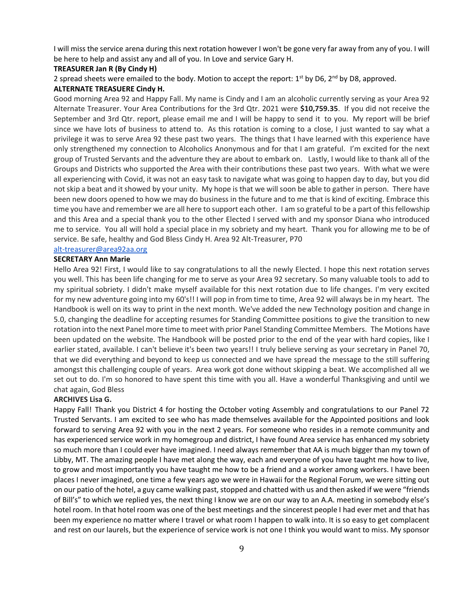I will miss the service arena during this next rotation however I won't be gone very far away from any of you. I will be here to help and assist any and all of you. In Love and service Gary H.

### **TREASURER Jan R (By Cindy H)**

2 spread sheets were emailed to the body. Motion to accept the report:  $1^{st}$  by D6,  $2^{nd}$  by D8, approved.

## **ALTERNATE TREASUERE Cindy H.**

Good morning Area 92 and Happy Fall. My name is Cindy and I am an alcoholic currently serving as your Area 92 Alternate Treasurer. Your Area Contributions for the 3rd Qtr. 2021 were **\$10,759.35**. If you did not receive the September and 3rd Qtr. report, please email me and I will be happy to send it to you. My report will be brief since we have lots of business to attend to. As this rotation is coming to a close, I just wanted to say what a privilege it was to serve Area 92 these past two years. The things that I have learned with this experience have only strengthened my connection to Alcoholics Anonymous and for that I am grateful. I'm excited for the next group of Trusted Servants and the adventure they are about to embark on. Lastly, I would like to thank all of the Groups and Districts who supported the Area with their contributions these past two years. With what we were all experiencing with Covid, it was not an easy task to navigate what was going to happen day to day, but you did not skip a beat and it showed by your unity. My hope is that we will soon be able to gather in person. There have been new doors opened to how we may do business in the future and to me that is kind of exciting. Embrace this time you have and remember we are all here to support each other. I am so grateful to be a part of this fellowship and this Area and a special thank you to the other Elected I served with and my sponsor Diana who introduced me to service. You all will hold a special place in my sobriety and my heart. Thank you for allowing me to be of service. Be safe, healthy and God Bless Cindy H. Area 92 Alt-Treasurer, P70

#### [alt-treasurer@area92aa.org](mailto:alt-treasurer@area92aa.org)

### **SECRETARY Ann Marie**

Hello Area 92! First, I would like to say congratulations to all the newly Elected. I hope this next rotation serves you well. This has been life changing for me to serve as your Area 92 secretary. So many valuable tools to add to my spiritual sobriety. I didn't make myself available for this next rotation due to life changes. I'm very excited for my new adventure going into my 60's!! I will pop in from time to time, Area 92 will always be in my heart. The Handbook is well on its way to print in the next month. We've added the new Technology position and change in 5.0, changing the deadline for accepting resumes for Standing Committee positions to give the transition to new rotation into the next Panel more time to meet with prior Panel Standing Committee Members. The Motions have been updated on the website. The Handbook will be posted prior to the end of the year with hard copies, like I earlier stated, available. I can't believe it's been two years!! I truly believe serving as your secretary in Panel 70, that we did everything and beyond to keep us connected and we have spread the message to the still suffering amongst this challenging couple of years. Area work got done without skipping a beat. We accomplished all we set out to do. I'm so honored to have spent this time with you all. Have a wonderful Thanksgiving and until we chat again, God Bless

### **ARCHIVES Lisa G.**

Happy Fall! Thank you District 4 for hosting the October voting Assembly and congratulations to our Panel 72 Trusted Servants. I am excited to see who has made themselves available for the Appointed positions and look forward to serving Area 92 with you in the next 2 years. For someone who resides in a remote community and has experienced service work in my homegroup and district, I have found Area service has enhanced my sobriety so much more than I could ever have imagined. I need always remember that AA is much bigger than my town of Libby, MT. The amazing people I have met along the way, each and everyone of you have taught me how to live, to grow and most importantly you have taught me how to be a friend and a worker among workers. I have been places I never imagined, one time a few years ago we were in Hawaii for the Regional Forum, we were sitting out on our patio of the hotel, a guy came walking past, stopped and chatted with us and then asked if we were "friends of Bill's" to which we replied yes, the next thing I know we are on our way to an A.A. meeting in somebody else's hotel room. In that hotel room was one of the best meetings and the sincerest people I had ever met and that has been my experience no matter where I travel or what room I happen to walk into. It is so easy to get complacent and rest on our laurels, but the experience of service work is not one I think you would want to miss. My sponsor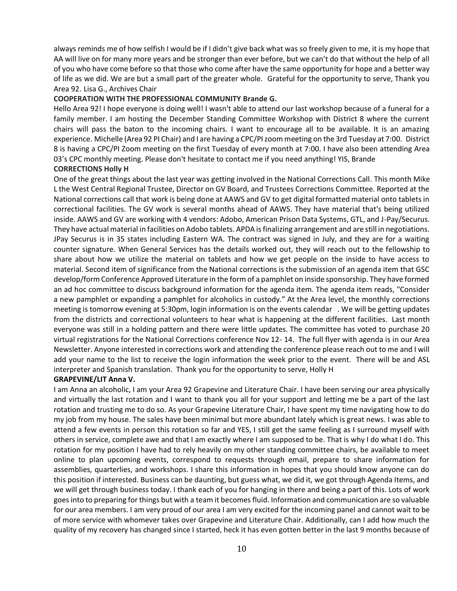always reminds me of how selfish I would be if I didn't give back what was so freely given to me, it is my hope that AA will live on for many more years and be stronger than ever before, but we can't do that without the help of all of you who have come before so that those who come after have the same opportunity for hope and a better way of life as we did. We are but a small part of the greater whole. Grateful for the opportunity to serve, Thank you Area 92. Lisa G., Archives Chair

### **COOPERATION WITH THE PROFESSIONAL COMMUNITY Brande G.**

Hello Area 92! I hope everyone is doing well! I wasn't able to attend our last workshop because of a funeral for a family member. I am hosting the December Standing Committee Workshop with District 8 where the current chairs will pass the baton to the incoming chairs. I want to encourage all to be available. It is an amazing experience. Michelle (Area 92 PI Chair) and I are having a CPC/PI zoom meeting on the 3rd Tuesday at 7:00. District 8 is having a CPC/PI Zoom meeting on the first Tuesday of every month at 7:00. I have also been attending Area 03's CPC monthly meeting. Please don't hesitate to contact me if you need anything! YIS, Brande

### **CORRECTIONS Holly H**

One of the great things about the last year was getting involved in the National Corrections Call. This month Mike L the West Central Regional Trustee, Director on GV Board, and Trustees Corrections Committee. Reported at the National corrections call that work is being done at AAWS and GV to get digital formatted material onto tablets in correctional facilities. The GV work is several months ahead of AAWS. They have material that's being utilized inside. AAWS and GV are working with 4 vendors: Adobo, American Prison Data Systems, GTL, and J-Pay/Securus. They have actual material in facilities on Adobo tablets. APDA is finalizing arrangement and are still in negotiations. JPay Securus is in 35 states including Eastern WA. The contract was signed in July, and they are for a waiting counter signature. When General Services has the details worked out, they will reach out to the fellowship to share about how we utilize the material on tablets and how we get people on the inside to have access to material. Second item of significance from the National corrections is the submission of an agenda item that GSC develop/form Conference Approved Literature in the form of a pamphlet on inside sponsorship. They have formed an ad hoc committee to discuss background information for the agenda item. The agenda item reads, "Consider a new pamphlet or expanding a pamphlet for alcoholics in custody." At the Area level, the monthly corrections meeting is tomorrow evening at 5:30pm, login information is on the events calendar . We will be getting updates from the districts and correctional volunteers to hear what is happening at the different facilities. Last month everyone was still in a holding pattern and there were little updates. The committee has voted to purchase 20 virtual registrations for the National Corrections conference Nov 12- 14. The full flyer with agenda is in our Area Newsletter. Anyone interested in corrections work and attending the conference please reach out to me and I will add your name to the list to receive the login information the week prior to the event. There will be and ASL interpreter and Spanish translation. Thank you for the opportunity to serve, Holly H

#### **GRAPEVINE/LIT Anna V.**

I am Anna an alcoholic, I am your Area 92 Grapevine and Literature Chair. I have been serving our area physically and virtually the last rotation and I want to thank you all for your support and letting me be a part of the last rotation and trusting me to do so. As your Grapevine Literature Chair, I have spent my time navigating how to do my job from my house. The sales have been minimal but more abundant lately which is great news. I was able to attend a few events in person this rotation so far and YES, I still get the same feeling as I surround myself with others in service, complete awe and that I am exactly where I am supposed to be. That is why I do what I do. This rotation for my position I have had to rely heavily on my other standing committee chairs, be available to meet online to plan upcoming events, correspond to requests through email, prepare to share information for assemblies, quarterlies, and workshops. I share this information in hopes that you should know anyone can do this position if interested. Business can be daunting, but guess what, we did it, we got through Agenda Items, and we will get through business today. I thank each of you for hanging in there and being a part of this. Lots of work goes into to preparing for things but with a team it becomes fluid. Information and communication are so valuable for our area members. I am very proud of our area I am very excited for the incoming panel and cannot wait to be of more service with whomever takes over Grapevine and Literature Chair. Additionally, can I add how much the quality of my recovery has changed since I started, heck it has even gotten better in the last 9 months because of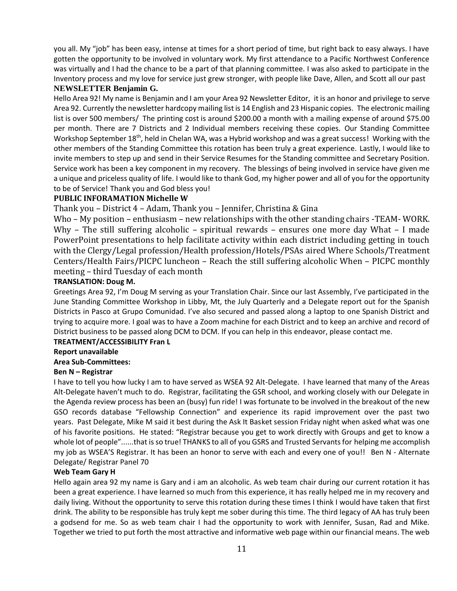you all. My "job" has been easy, intense at times for a short period of time, but right back to easy always. I have gotten the opportunity to be involved in voluntary work. My first attendance to a Pacific Northwest Conference was virtually and I had the chance to be a part of that planning committee. I was also asked to participate in the Inventory process and my love for service just grew stronger, with people like Dave, Allen, and Scott all our past **NEWSLETTER Benjamin G.**

Hello Area 92! My name is Benjamin and I am your Area 92 Newsletter Editor, it is an honor and privilege to serve Area 92. Currently the newsletter hardcopy mailing list is 14 English and 23 Hispanic copies. The electronic mailing list is over 500 members/ The printing cost is around \$200.00 a month with a mailing expense of around \$75.00 per month. There are 7 Districts and 2 Individual members receiving these copies. Our Standing Committee Workshop September 18<sup>th</sup>, held in Chelan WA, was a Hybrid workshop and was a great success! Working with the other members of the Standing Committee this rotation has been truly a great experience. Lastly, I would like to invite members to step up and send in their Service Resumes for the Standing committee and Secretary Position. Service work has been a key component in my recovery. The blessings of being involved in service have given me a unique and priceless quality of life. I would like to thank God, my higher power and all of you for the opportunity to be of Service! Thank you and God bless you!

## **PUBLIC INFORAMATION Michelle W**

Thank you – District 4 – Adam, Thank you – Jennifer, Christina & Gina

Who – My position – enthusiasm – new relationships with the other standing chairs -TEAM- WORK. Why – The still suffering alcoholic – spiritual rewards – ensures one more day What – I made PowerPoint presentations to help facilitate activity within each district including getting in touch with the Clergy/Legal profession/Health profession/Hotels/PSAs aired Where Schools/Treatment Centers/Health Fairs/PICPC luncheon – Reach the still suffering alcoholic When – PICPC monthly meeting – third Tuesday of each month

## **TRANSLATION: Doug M.**

Greetings Area 92, I'm Doug M serving as your Translation Chair. Since our last Assembly, I've participated in the June Standing Committee Workshop in Libby, Mt, the July Quarterly and a Delegate report out for the Spanish Districts in Pasco at Grupo Comunidad. I've also secured and passed along a laptop to one Spanish District and trying to acquire more. I goal was to have a Zoom machine for each District and to keep an archive and record of District business to be passed along DCM to DCM. If you can help in this endeavor, please contact me.

## **TREATMENT/ACCESSIBILITY Fran L**

## **Report unavailable**

## **Area Sub-Committees:**

## **Ben N – Registrar**

I have to tell you how lucky I am to have served as WSEA 92 Alt-Delegate. I have learned that many of the Areas Alt-Delegate haven't much to do. Registrar, facilitating the GSR school, and working closely with our Delegate in the Agenda review process has been an (busy) fun ride! I was fortunate to be involved in the breakout of the new GSO records database "Fellowship Connection" and experience its rapid improvement over the past two years. Past Delegate, Mike M said it best during the Ask It Basket session Friday night when asked what was one of his favorite positions. He stated: "Registrar because you get to work directly with Groups and get to know a whole lot of people"......that is so true! THANKS to all of you GSRS and Trusted Servants for helping me accomplish my job as WSEA'S Registrar. It has been an honor to serve with each and every one of you!! Ben N - Alternate Delegate/ Registrar Panel 70

## **Web Team Gary H**

Hello again area 92 my name is Gary and i am an alcoholic. As web team chair during our current rotation it has been a great experience. I have learned so much from this experience, it has really helped me in my recovery and daily living. Without the opportunity to serve this rotation during these times I think I would have taken that first drink. The ability to be responsible has truly kept me sober during this time. The third legacy of AA has truly been a godsend for me. So as web team chair I had the opportunity to work with Jennifer, Susan, Rad and Mike. Together we tried to put forth the most attractive and informative web page within our financial means. The web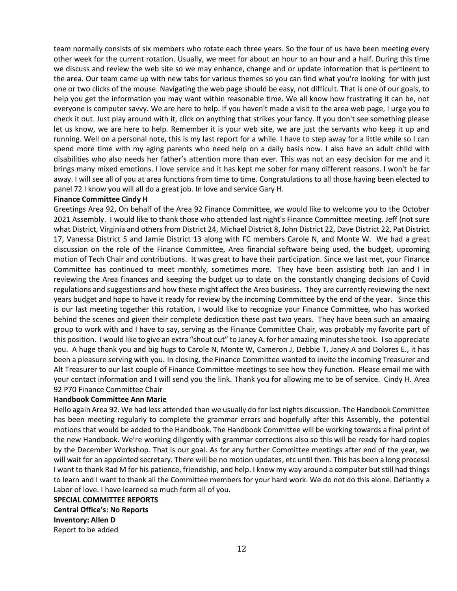team normally consists of six members who rotate each three years. So the four of us have been meeting every other week for the current rotation. Usually, we meet for about an hour to an hour and a half. During this time we discuss and review the web site so we may enhance, change and or update information that is pertinent to the area. Our team came up with new tabs for various themes so you can find what you're looking for with just one or two clicks of the mouse. Navigating the web page should be easy, not difficult. That is one of our goals, to help you get the information you may want within reasonable time. We all know how frustrating it can be, not everyone is computer savvy. We are here to help. If you haven't made a visit to the area web page, I urge you to check it out. Just play around with it, click on anything that strikes your fancy. If you don't see something please let us know, we are here to help. Remember it is your web site, we are just the servants who keep it up and running. Well on a personal note, this is my last report for a while. I have to step away for a little while so I can spend more time with my aging parents who need help on a daily basis now. I also have an adult child with disabilities who also needs her father's attention more than ever. This was not an easy decision for me and it brings many mixed emotions. I love service and it has kept me sober for many different reasons. I won't be far away. I will see all of you at area functions from time to time. Congratulations to all those having been elected to panel 72 I know you will all do a great job. In love and service Gary H.

#### **Finance Committee Cindy H**

Greetings Area 92, On behalf of the Area 92 Finance Committee, we would like to welcome you to the October 2021 Assembly. I would like to thank those who attended last night's Finance Committee meeting. Jeff (not sure what District, Virginia and others from District 24, Michael District 8, John District 22, Dave District 22, Pat District 17, Vanessa District 5 and Jamie District 13 along with FC members Carole N, and Monte W. We had a great discussion on the role of the Finance Committee, Area financial software being used, the budget, upcoming motion of Tech Chair and contributions. It was great to have their participation. Since we last met, your Finance Committee has continued to meet monthly, sometimes more. They have been assisting both Jan and I in reviewing the Area finances and keeping the budget up to date on the constantly changing decisions of Covid regulations and suggestions and how these might affect the Area business. They are currently reviewing the next years budget and hope to have it ready for review by the incoming Committee by the end of the year. Since this is our last meeting together this rotation, I would like to recognize your Finance Committee, who has worked behind the scenes and given their complete dedication these past two years. They have been such an amazing group to work with and I have to say, serving as the Finance Committee Chair, was probably my favorite part of this position. I would like to give an extra "shout out" to Janey A. for her amazing minutes she took. I so appreciate you. A huge thank you and big hugs to Carole N, Monte W, Cameron J, Debbie T, Janey A and Dolores E., it has been a pleasure serving with you. In closing, the Finance Committee wanted to invite the incoming Treasurer and Alt Treasurer to our last couple of Finance Committee meetings to see how they function. Please email me with your contact information and I will send you the link. Thank you for allowing me to be of service. Cindy H. Area 92 P70 Finance Committee Chair

### **Handbook Committee Ann Marie**

Hello again Area 92. We had less attended than we usually do for last nights discussion. The Handbook Committee has been meeting regularly to complete the grammar errors and hopefully after this Assembly, the potential motions that would be added to the Handbook. The Handbook Committee will be working towards a final print of the new Handbook. We're working diligently with grammar corrections also so this will be ready for hard copies by the December Workshop. That is our goal. As for any further Committee meetings after end of the year, we will wait for an appointed secretary. There will be no motion updates, etc until then. This has been a long process! I want to thank Rad M for his patience, friendship, and help. I know my way around a computer but still had things to learn and I want to thank all the Committee members for your hard work. We do not do this alone. Defiantly a Labor of love. I have learned so much form all of you.

#### **SPECIAL COMMITTEE REPORTS**

**Central Office's: No Reports**

**Inventory: Allen D** Report to be added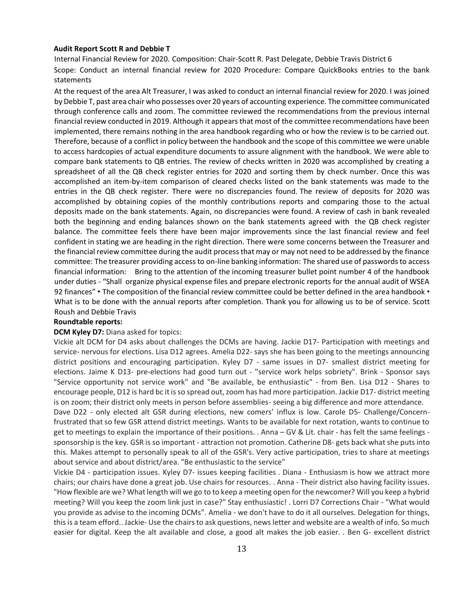## **Audit Report Scott R and Debbie T**

Internal Financial Review for 2020. Composition: Chair-Scott R. Past Delegate, Debbie Travis District 6 Scope: Conduct an internal financial review for 2020 Procedure: Compare QuickBooks entries to the bank statements

At the request of the area Alt Treasurer, I was asked to conduct an internal financial review for 2020. I was joined by Debbie T, past area chair who possesses over 20 years of accounting experience. The committee communicated through conference calls and zoom. The committee reviewed the recommendations from the previous internal financial review conducted in 2019. Although it appears that most of the committee recommendations have been implemented, there remains nothing in the area handbook regarding who or how the review is to be carried out. Therefore, because of a conflict in policy between the handbook and the scope of this committee we were unable to access hardcopies of actual expenditure documents to assure alignment with the handbook. We were able to compare bank statements to QB entries. The review of checks written in 2020 was accomplished by creating a spreadsheet of all the QB check register entries for 2020 and sorting them by check number. Once this was accomplished an item-by-item comparison of cleared checks listed on the bank statements was made to the entries in the QB check register. There were no discrepancies found. The review of deposits for 2020 was accomplished by obtaining copies of the monthly contributions reports and comparing those to the actual deposits made on the bank statements. Again, no discrepancies were found. A review of cash in bank revealed both the beginning and ending balances shown on the bank statements agreed with the QB check register balance. The committee feels there have been major improvements since the last financial review and feel confident in stating we are heading in the right direction. There were some concerns between the Treasurer and the financial review committee during the audit process that may or may not need to be addressed by the finance committee: The treasurer providing access to on-line banking information: The shared use of passwords to access financial information: Bring to the attention of the incoming treasurer bullet point number 4 of the handbook under duties - "Shall organize physical expense files and prepare electronic reports for the annual audit of WSEA 92 finances" • The composition of the financial review committee could be better defined in the area handbook • What is to be done with the annual reports after completion. Thank you for allowing us to be of service. Scott Roush and Debbie Travis

### **Roundtable reports:**

### **DCM Kyley D7:** Diana asked for topics:

Vickie alt DCM for D4 asks about challenges the DCMs are having. Jackie D17- Participation with meetings and service- nervous for elections. Lisa D12 agrees. Amelia D22- says she has been going to the meetings announcing district positions and encouraging participation. Kyley D7 - same issues in D7- smallest district meeting for elections. Jaime K D13- pre-elections had good turn out - "service work helps sobriety". Brink - Sponsor says "Service opportunity not service work" and "Be available, be enthusiastic" - from Ben. Lisa D12 - Shares to encourage people, D12 is hard bc it is so spread out, zoom has had more participation. Jackie D17- district meeting is on zoom; their district only meets in person before assemblies- seeing a big difference and more attendance.

Dave D22 - only elected alt GSR during elections, new comers' influx is low. Carole D5- Challenge/Concernfrustrated that so few GSR attend district meetings. Wants to be available for next rotation, wants to continue to get to meetings to explain the importance of their positions. . Anna – GV & Lit. chair - has felt the same feelings sponsorship is the key. GSR is so important - attraction not promotion. Catherine D8- gets back what she puts into this. Makes attempt to personally speak to all of the GSR's. Very active participation, tries to share at meetings about service and about district/area. "Be enthusiastic to the service"

Vickie D4 - participation issues. Kyley D7- issues keeping facilities . Diana - Enthusiasm is how we attract more chairs; our chairs have done a great job. Use chairs for resources. . Anna - Their district also having facility issues. "How flexible are we? What length will we go to to keep a meeting open for the newcomer? Will you keep a hybrid meeting? Will you keep the zoom link just in case?" Stay enthusiastic! . Lorri D7 Corrections Chair - "What would you provide as advise to the incoming DCMs". Amelia - we don't have to do it all ourselves. Delegation for things, this is a team efford.. Jackie- Use the chairs to ask questions, news letter and website are a wealth of info. So much easier for digital. Keep the alt available and close, a good alt makes the job easier. . Ben G- excellent district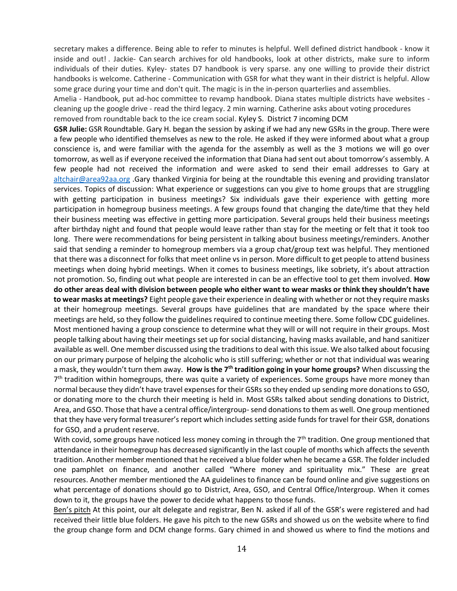secretary makes a difference. Being able to refer to minutes is helpful. Well defined district handbook - know it inside and out! . Jackie- Can search archives for old handbooks, look at other districts, make sure to inform individuals of their duties. Kyley- states D7 handbook is very sparse. any one willing to provide their district handbooks is welcome. Catherine - Communication with GSR for what they want in their district is helpful. Allow some grace during your time and don't quit. The magic is in the in-person quarterlies and assemblies.

Amelia - Handbook, put ad-hoc committee to revamp handbook. Diana states multiple districts have websites cleaning up the google drive - read the third legacy. 2 min warning. Catherine asks about voting procedures removed from roundtable back to the ice cream social. Kyley S. District 7 incoming DCM

**GSR Julie:** GSR Roundtable. Gary H. began the session by asking if we had any new GSRs in the group. There were a few people who identified themselves as new to the role. He asked if they were informed about what a group conscience is, and were familiar with the agenda for the assembly as well as the 3 motions we will go over tomorrow, as well as if everyone received the information that Diana had sent out about tomorrow's assembly. A few people had not received the information and were asked to send their email addresses to Gary at [altchair@area92aa.org](mailto:altchair@area92aa.org) .Gary thanked Virginia for being at the roundtable this evening and providing translator services. Topics of discussion: What experience or suggestions can you give to home groups that are struggling with getting participation in business meetings? Six individuals gave their experience with getting more participation in homegroup business meetings. A few groups found that changing the date/time that they held their business meeting was effective in getting more participation. Several groups held their business meetings after birthday night and found that people would leave rather than stay for the meeting or felt that it took too long. There were recommendations for being persistent in talking about business meetings/reminders. Another said that sending a reminder to homegroup members via a group chat/group text was helpful. They mentioned that there was a disconnect for folks that meet online vs in person. More difficult to get people to attend business meetings when doing hybrid meetings. When it comes to business meetings, like sobriety, it's about attraction not promotion. So, finding out what people are interested in can be an effective tool to get them involved. **How do other areas deal with division between people who either want to wear masks or think they shouldn't have to wear masks at meetings?** Eight people gave their experience in dealing with whether or not they require masks at their homegroup meetings. Several groups have guidelines that are mandated by the space where their meetings are held, so they follow the guidelines required to continue meeting there. Some follow CDC guidelines. Most mentioned having a group conscience to determine what they will or will not require in their groups. Most people talking about having their meetings set up for social distancing, having masks available, and hand sanitizer available as well. One member discussed using the traditions to deal with this issue. We also talked about focusing on our primary purpose of helping the alcoholic who is still suffering; whether or not that individual was wearing a mask, they wouldn't turn them away. **How is the 7th tradition going in your home groups?** When discussing the 7<sup>th</sup> tradition within homegroups, there was quite a variety of experiences. Some groups have more money than normal because they didn't have travel expenses for their GSRs so they ended up sending more donations to GSO, or donating more to the church their meeting is held in. Most GSRs talked about sending donations to District, Area, and GSO. Those that have a central office/intergroup-send donations to them as well. One group mentioned that they have very formal treasurer's report which includes setting aside funds for travel for their GSR, donations for GSO, and a prudent reserve.

With covid, some groups have noticed less money coming in through the 7<sup>th</sup> tradition. One group mentioned that attendance in their homegroup has decreased significantly in the last couple of months which affects the seventh tradition. Another member mentioned that he received a blue folder when he became a GSR. The folder included one pamphlet on finance, and another called "Where money and spirituality mix." These are great resources. Another member mentioned the AA guidelines to finance can be found online and give suggestions on what percentage of donations should go to District, Area, GSO, and Central Office/Intergroup. When it comes down to it, the groups have the power to decide what happens to those funds.

Ben's pitch At this point, our alt delegate and registrar, Ben N. asked if all of the GSR's were registered and had received their little blue folders. He gave his pitch to the new GSRs and showed us on the website where to find the group change form and DCM change forms. Gary chimed in and showed us where to find the motions and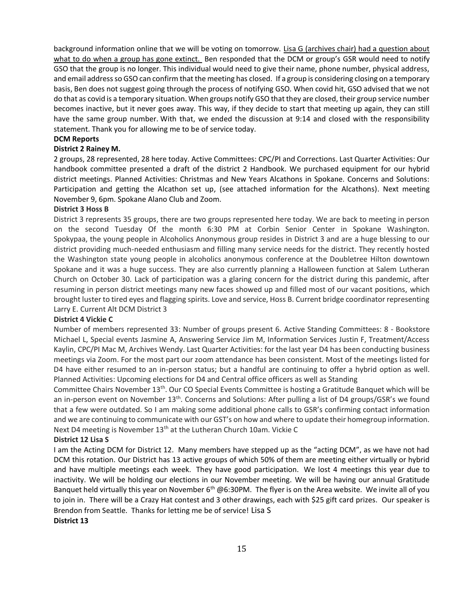background information online that we will be voting on tomorrow. Lisa G (archives chair) had a question about what to do when a group has gone extinct. Ben responded that the DCM or group's GSR would need to notify GSO that the group is no longer. This individual would need to give their name, phone number, physical address, and email address so GSO can confirm that the meeting has closed. If a group is considering closing on a temporary basis, Ben does not suggest going through the process of notifying GSO. When covid hit, GSO advised that we not do that as covid is a temporary situation. When groups notify GSO that they are closed, their group service number becomes inactive, but it never goes away. This way, if they decide to start that meeting up again, they can still have the same group number. With that, we ended the discussion at 9:14 and closed with the responsibility statement. Thank you for allowing me to be of service today.

## **DCM Reports**

## **District 2 Rainey M.**

2 groups, 28 represented, 28 here today. Active Committees: CPC/PI and Corrections. Last Quarter Activities: Our handbook committee presented a draft of the district 2 Handbook. We purchased equipment for our hybrid district meetings. Planned Activities: Christmas and New Years Alcathons in Spokane. Concerns and Solutions: Participation and getting the Alcathon set up, (see attached information for the Alcathons). Next meeting November 9, 6pm. Spokane Alano Club and Zoom.

## **District 3 Hoss B**

District 3 represents 35 groups, there are two groups represented here today. We are back to meeting in person on the second Tuesday Of the month 6:30 PM at Corbin Senior Center in Spokane Washington. Spokypaa, the young people in Alcoholics Anonymous group resides in District 3 and are a huge blessing to our district providing much-needed enthusiasm and filling many service needs for the district. They recently hosted the Washington state young people in alcoholics anonymous conference at the Doubletree Hilton downtown Spokane and it was a huge success. They are also currently planning a Halloween function at Salem Lutheran Church on October 30. Lack of participation was a glaring concern for the district during this pandemic, after resuming in person district meetings many new faces showed up and filled most of our vacant positions, which brought luster to tired eyes and flagging spirits. Love and service, Hoss B. Current bridge coordinator representing Larry E. Current Alt DCM District 3

### **District 4 Vickie C**

Number of members represented 33: Number of groups present 6. Active Standing Committees: 8 - Bookstore Michael L, Special events Jasmine A, Answering Service Jim M, Information Services Justin F, Treatment/Access Kaylin, CPC/PI Mac M, Archives Wendy. Last Quarter Activities: for the last year D4 has been conducting business meetings via Zoom. For the most part our zoom attendance has been consistent. Most of the meetings listed for D4 have either resumed to an in-person status; but a handful are continuing to offer a hybrid option as well. Planned Activities: Upcoming elections for D4 and Central office officers as well as Standing

Committee Chairs November 13th. Our CO Special Events Committee is hosting a Gratitude Banquet which will be an in-person event on November 13<sup>th</sup>. Concerns and Solutions: After pulling a list of D4 groups/GSR's we found that a few were outdated. So I am making some additional phone calls to GSR's confirming contact information and we are continuing to communicate with our GST's on how and where to update their homegroup information. Next D4 meeting is November 13<sup>th</sup> at the Lutheran Church 10am. Vickie C

## **District 12 Lisa S**

I am the Acting DCM for District 12. Many members have stepped up as the "acting DCM", as we have not had DCM this rotation. Our District has 13 active groups of which 50% of them are meeting either virtually or hybrid and have multiple meetings each week. They have good participation. We lost 4 meetings this year due to inactivity. We will be holding our elections in our November meeting. We will be having our annual Gratitude Banquet held virtually this year on November  $6^{th}$  @6:30PM. The flyer is on the Area website. We invite all of you to join in. There will be a Crazy Hat contest and 3 other drawings, each with \$25 gift card prizes. Our speaker is Brendon from Seattle. Thanks for letting me be of service! Lisa S **District 13**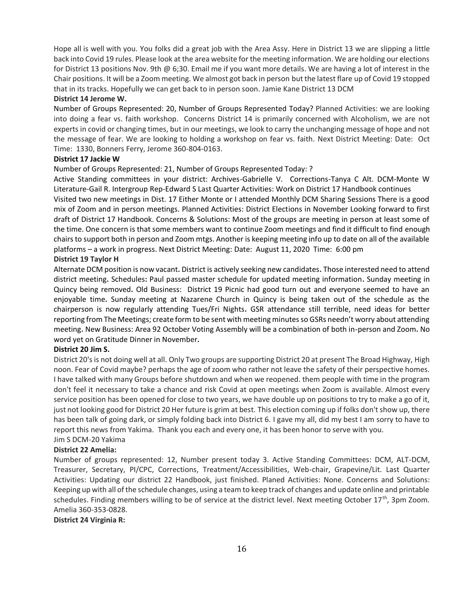Hope all is well with you. You folks did a great job with the Area Assy. Here in District 13 we are slipping a little back into Covid 19 rules. Please look at the area website for the meeting information. We are holding our elections for District 13 positions Nov. 9th @ 6;30. Email me if you want more details. We are having a lot of interest in the Chair positions. It will be a Zoom meeting. We almost got back in person but the latest flare up of Covid 19 stopped that in its tracks. Hopefully we can get back to in person soon. Jamie Kane District 13 DCM

## **District 14 Jerome W.**

Number of Groups Represented: 20, Number of Groups Represented Today? Planned Activities: we are looking into doing a fear vs. faith workshop. Concerns District 14 is primarily concerned with Alcoholism, we are not experts in covid or changing times, but in our meetings, we look to carry the unchanging message of hope and not the message of fear. We are looking to holding a workshop on fear vs. faith. Next District Meeting: Date: Oct Time: 1330, Bonners Ferry, Jerome 360-804-0163.

## **District 17 Jackie W**

Number of Groups Represented: 21, Number of Groups Represented Today: ?

Active Standing committees in your district: Archives-Gabrielle V. Corrections-Tanya C Alt. DCM-Monte W Literature-Gail R. Intergroup Rep-Edward S Last Quarter Activities: Work on District 17 Handbook continues Visited two new meetings in Dist. 17 Either Monte or I attended Monthly DCM Sharing Sessions There is a good mix of Zoom and in person meetings. Planned Activities: District Elections in November Looking forward to first draft of District 17 Handbook. Concerns & Solutions: Most of the groups are meeting in person at least some of the time. One concern is that some members want to continue Zoom meetings and find it difficult to find enough chairs to support both in person and Zoom mtgs. Another is keeping meeting info up to date on all of the available platforms – a work in progress. Next District Meeting: Date: August 11, 2020 Time: 6:00 pm **District 19 Taylor H**

## Alternate DCM position is now vacant**.** District is actively seeking new candidates**.** Those interested need to attend district meeting**.** Schedules**:** Paul passed master schedule for updated meeting information**.** Sunday meeting in Quincy being removed**.** Old Business: District 19 Picnic had good turn out and everyone seemed to have an enjoyable time**.** Sunday meeting at Nazarene Church in Quincy is being taken out of the schedule as the chairperson is now regularly attending Tues/Fri Nights**.** GSR attendance still terrible, need ideas for better reporting from The Meetings; create form to be sent with meeting minutes so GSRs needn't worry about attending meeting**.** New Business: Area 92 October Voting Assembly will be a combination of both in-person and Zoom**.** No

word yet on Gratitude Dinner in November**.** 

## **District 20 Jim S.**

District 20's is not doing well at all. Only Two groups are supporting District 20 at present The Broad Highway, High noon. Fear of Covid maybe? perhaps the age of zoom who rather not leave the safety of their perspective homes. I have talked with many Groups before shutdown and when we reopened. them people with time in the program don't feel it necessary to take a chance and risk Covid at open meetings when Zoom is available. Almost every service position has been opened for close to two years, we have double up on positions to try to make a go of it, just not looking good for District 20 Her future is grim at best. This election coming up if folks don't show up, there has been talk of going dark, or simply folding back into District 6. I gave my all, did my best I am sorry to have to report this news from Yakima. Thank you each and every one, it has been honor to serve with you. Jim S DCM-20 Yakima

## **District 22 Amelia:**

Number of groups represented: 12, Number present today 3. Active Standing Committees: DCM, ALT-DCM, Treasurer, Secretary, PI/CPC, Corrections, Treatment/Accessibilities, Web-chair, Grapevine/Lit. Last Quarter Activities: Updating our district 22 Handbook, just finished. Planed Activities: None. Concerns and Solutions: Keeping up with all of the schedule changes, using a team to keep track of changes and update online and printable schedules. Finding members willing to be of service at the district level. Next meeting October 17<sup>th</sup>, 3pm Zoom. Amelia 360-353-0828.

**District 24 Virginia R:**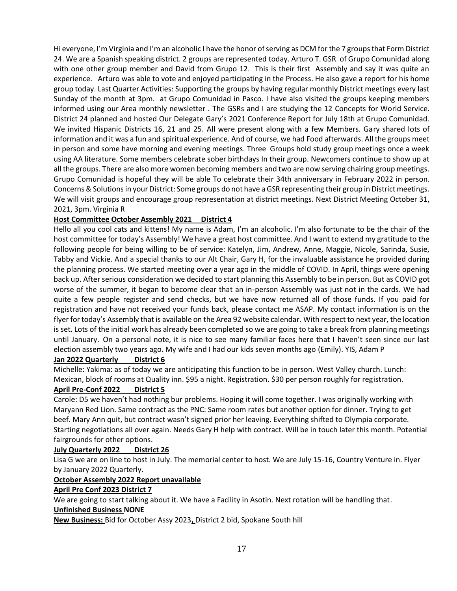Hi everyone, I'm Virginia and I'm an alcoholic I have the honor of serving as DCM for the 7 groups that Form District 24. We are a Spanish speaking district. 2 groups are represented today. Arturo T. GSR of Grupo Comunidad along with one other group member and David from Grupo 12. This is their first Assembly and say it was quite an experience. Arturo was able to vote and enjoyed participating in the Process. He also gave a report for his home group today. Last Quarter Activities: Supporting the groups by having regular monthly District meetings every last Sunday of the month at 3pm. at Grupo Comunidad in Pasco. I have also visited the groups keeping members informed using our Area monthly newsletter . The GSRs and I are studying the 12 Concepts for World Service. District 24 planned and hosted Our Delegate Gary's 2021 Conference Report for July 18th at Grupo Comunidad. We invited Hispanic Districts 16, 21 and 25. All were present along with a few Members. Gary shared lots of information and it was a fun and spiritual experience. And of course, we had Food afterwards. All the groups meet in person and some have morning and evening meetings. Three Groups hold study group meetings once a week using AA literature. Some members celebrate sober birthdays In their group. Newcomers continue to show up at all the groups. There are also more women becoming members and two are now serving chairing group meetings. Grupo Comunidad is hopeful they will be able To celebrate their 34th anniversary in February 2022 in person. Concerns & Solutions in your District: Some groups do not have a GSR representing their group in District meetings. We will visit groups and encourage group representation at district meetings. Next District Meeting October 31, 2021, 3pm. Virginia R

## **Host Committee October Assembly 2021 District 4**

Hello all you cool cats and kittens! My name is Adam, I'm an alcoholic. I'm also fortunate to be the chair of the host committee for today's Assembly! We have a great host committee. And I want to extend my gratitude to the following people for being willing to be of service: Katelyn, Jim, Andrew, Anne, Maggie, Nicole, Sarinda, Susie, Tabby and Vickie. And a special thanks to our Alt Chair, Gary H, for the invaluable assistance he provided during the planning process. We started meeting over a year ago in the middle of COVID. In April, things were opening back up. After serious consideration we decided to start planning this Assembly to be in person. But as COVID got worse of the summer, it began to become clear that an in-person Assembly was just not in the cards. We had quite a few people register and send checks, but we have now returned all of those funds. If you paid for registration and have not received your funds back, please contact me ASAP. My contact information is on the flyer for today's Assembly that is available on the Area 92 website calendar. With respect to next year, the location is set. Lots of the initial work has already been completed so we are going to take a break from planning meetings until January. On a personal note, it is nice to see many familiar faces here that I haven't seen since our last election assembly two years ago. My wife and I had our kids seven months ago (Emily). YIS, Adam P

## **Jan 2022 Quarterly District 6**

Michelle: Yakima: as of today we are anticipating this function to be in person. West Valley church. Lunch: Mexican, block of rooms at Quality inn. \$95 a night. Registration. \$30 per person roughly for registration.

## **April Pre-Conf 2022 District 5**

Carole: D5 we haven't had nothing bur problems. Hoping it will come together. I was originally working with Maryann Red Lion. Same contract as the PNC: Same room rates but another option for dinner. Trying to get beef. Mary Ann quit, but contract wasn't signed prior her leaving. Everything shifted to Olympia corporate. Starting negotiations all over again. Needs Gary H help with contract. Will be in touch later this month. Potential fairgrounds for other options.

## **July Quarterly 2022 District 26**

Lisa G we are on line to host in July. The memorial center to host. We are July 15-16, Country Venture in. Flyer by January 2022 Quarterly.

## **October Assembly 2022 Report unavailable**

### **April Pre Conf 2023 District 7**

We are going to start talking about it. We have a Facility in Asotin. Next rotation will be handling that.

# **Unfinished Business NONE**

**New Business:** Bid for October Assy 2023**,** District 2 bid, Spokane South hill